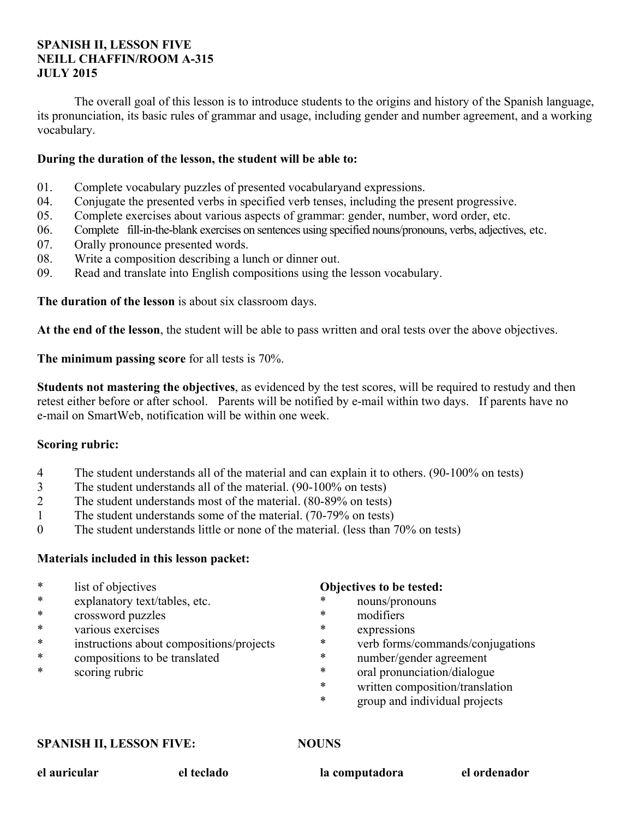## **SPANISH II, LESSON FIVE NEILL CHAFFIN/ROOM A-315 JULY 2015**

 The overall goal of this lesson is to introduce students to the origins and history of the Spanish language, its pronunciation, its basic rules of grammar and usage, including gender and number agreement, and a working vocabulary.

## **During the duration of the lesson, the student will be able to:**

- 01. Complete vocabulary puzzles of presented vocabularyand expressions.
- 04. Conjugate the presented verbs in specified verb tenses, including the present progressive.
- 05. Complete exercises about various aspects of grammar: gender, number, word order, etc.
- 06. Complete fill-in-the-blank exercises on sentences using specified nouns/pronouns, verbs, adjectives, etc.
- 07. Orally pronounce presented words.
- 08. Write a composition describing a lunch or dinner out.
- 09. Read and translate into English compositions using the lesson vocabulary.

**The duration of the lesson** is about six classroom days.

**At the end of the lesson**, the student will be able to pass written and oral tests over the above objectives.

**The minimum passing score** for all tests is 70%.

**Students not mastering the objectives**, as evidenced by the test scores, will be required to restudy and then retest either before or after school. Parents will be notified by e-mail within two days. If parents have no e-mail on SmartWeb, notification will be within one week.

## **Scoring rubric:**

- 4 The student understands all of the material and can explain it to others. (90-100% on tests)
- 3 The student understands all of the material. (90-100% on tests)
- 2 The student understands most of the material. (80-89% on tests)
- 1 The student understands some of the material. (70-79% on tests)
- 0 The student understands little or none of the material. (less than 70% on tests)

## **Materials included in this lesson packet:**

- \* list of objectives
- \* explanatory text/tables, etc.
- \* crossword puzzles
- \* various exercises
- instructions about compositions/projects
- \* compositions to be translated
- \* scoring rubric

## **Objectives to be tested:**

- nouns/pronouns
- \* modifiers
- \* expressions
- verb forms/commands/conjugations
- \* number/gender agreement
- \* oral pronunciation/dialogue
- \* written composition/translation
- \* group and individual projects

### **SPANISH II, LESSON FIVE:** NOUNS

**el auricular el teclado la computadora el ordenador**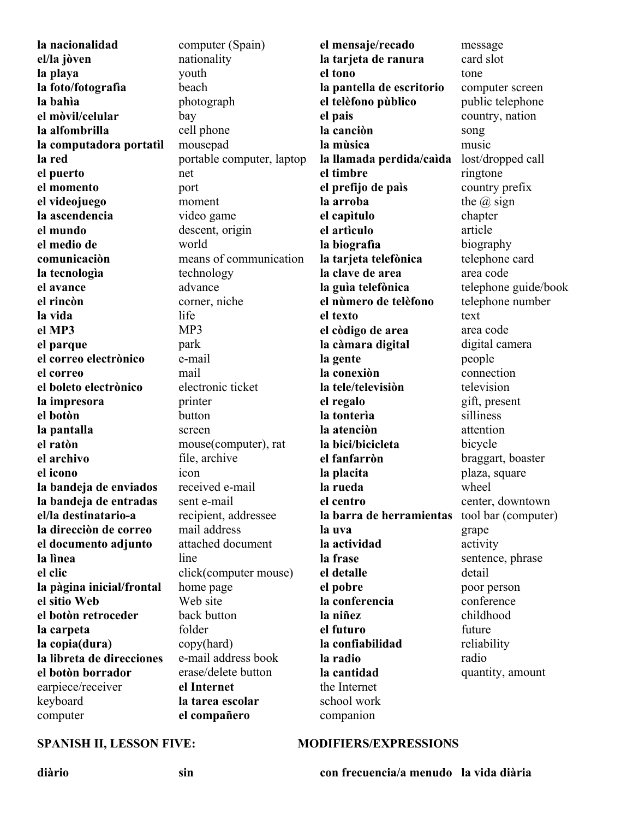| la nacionalidad           | computer (Spain)          | el mensaje/recado         | message              |
|---------------------------|---------------------------|---------------------------|----------------------|
| el/la jòven               | nationality               | la tarjeta de ranura      | card slot            |
| la playa                  | youth                     | el tono                   | tone                 |
| la foto/fotografia        | beach                     | la pantella de escritorio | computer screen      |
| la bahìa                  | photograph                | el telèfono pùblico       | public telephone     |
| el mòvil/celular          | bay                       | el pais                   | country, nation      |
| la alfombrilla            | cell phone                | la canciòn                | song                 |
| la computadora portatil   | mousepad                  | la mùsica                 | music                |
| la red                    | portable computer, laptop | la llamada perdida/caìda  | lost/dropped call    |
| el puerto                 | net                       | el timbre                 | ringtone             |
| el momento                | port                      | el prefijo de paìs        | country prefix       |
| el videojuego             | moment                    | la arroba                 | the $\omega$ sign    |
| la ascendencia            | video game                | el capìtulo               | chapter              |
| el mundo                  | descent, origin           | el artìculo               | article              |
| el medio de               | world                     | la biografia              | biography            |
| comunicación              | means of communication    | la tarjeta telefònica     | telephone card       |
| la tecnologia             | technology                | la clave de area          | area code            |
| el avance                 | advance                   | la guìa telefònica        | telephone guide/book |
| el rincòn                 | corner, niche             | el nùmero de telèfono     | telephone number     |
| la vida                   | life                      | el texto                  | text                 |
| el MP3                    | MP3                       | el còdigo de area         | area code            |
| el parque                 | park                      | la càmara digital         | digital camera       |
| el correo electrònico     | e-mail                    | la gente                  | people               |
| el correo                 | mail                      | la conexiòn               | connection           |
| el boleto electrònico     | electronic ticket         | la tele/televisiòn        | television           |
| la impresora              | printer                   | el regalo                 | gift, present        |
| el botòn                  | button                    | la tontería               | silliness            |
| la pantalla               | screen                    | la atenciòn               | attention            |
| el ratòn                  | mouse(computer), rat      | la bici/bicicleta         | bicycle              |
| el archivo                | file, archive             | el fanfarròn              | braggart, boaster    |
| el icono                  | icon                      | la placita                | plaza, square        |
| la bandeja de enviados    | received e-mail           | la rueda                  | wheel                |
| la bandeja de entradas    | sent e-mail               | el centro                 | center, downtown     |
| el/la destinatario-a      | recipient, addressee      | la barra de herramientas  | tool bar (computer)  |
| la dirección de correo    | mail address              | la uva                    | grape                |
| el documento adjunto      | attached document         | la actividad              | activity             |
| la lìnea                  | line                      | la frase                  | sentence, phrase     |
| el clic                   | click(computer mouse)     | el detalle                | detail               |
| la pàgina inicial/frontal | home page                 | el pobre                  | poor person          |
| el sitio Web              | Web site                  | la conferencia            | conference           |
| el botòn retroceder       | back button               | la niñez                  | childhood            |
| la carpeta                | folder                    | el futuro                 | future               |
| la copia(dura)            | copy(hard)                | la confiabilidad          | reliability          |
| la libreta de direcciones | e-mail address book       | la radio                  | radio                |
| el botòn borrador         | erase/delete button       | la cantidad               | quantity, amount     |
| earpiece/receiver         | el Internet               | the Internet              |                      |
| keyboard                  | la tarea escolar          | school work               |                      |
| computer                  | el compañero              | companion                 |                      |
|                           |                           |                           |                      |

## SPANISH II, LESSON FIVE: **MODIFIERS/EXPRESSIONS**

**diàrio sin con frecuencia/a menudo la vida diària**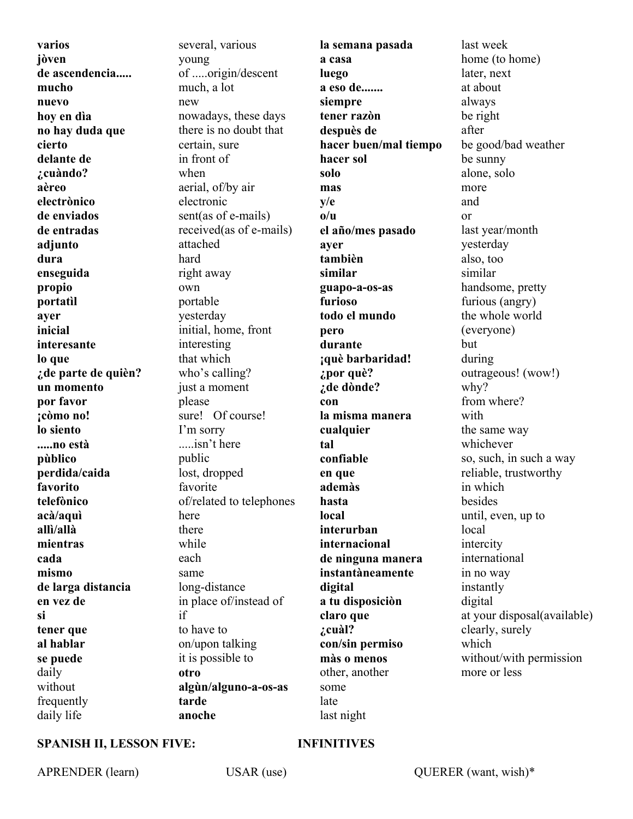**varios jòven de ascendencia..... mucho nuevo hoy en dìa no hay duda que cierto delante de ¿cuàndo? aèreo electrònico de enviados de entradas adjunto dura enseguida propio portatìl ayer inicial interesante lo que ¿de parte de quièn? un momento por favor ¡còmo no! lo siento .....no està pùblico perdida/caida favorito telefònico acà/aquì allì/allà mientras cada mismo de larga distancia en vez de si tener que al hablar se puede** daily without frequently daily life

several, various young of .....origin/descent much, a lot new nowadays, these days there is no doubt that certain, sure in front of when aerial, of/by air electronic sent(as of e-mails) received(as of e-mails) attached hard right away own portable yesterday initial, home, front interesting that which who's calling? just a moment please sure! Of course! I'm sorry .....isn't here public lost, dropped favorite of/related to telephones here there while each same long-distance in place of/instead of if to have to on/upon talking it is possible to **otro algùn/alguno-a-os-as tarde anoche** 

**la semana pasada a casa luego a eso de....... siempre tener razòn despuès de hacer buen/mal tiempo hacer sol solo mas y/e o/u el año/mes pasado ayer tambièn similar guapo-a-os-as furioso todo el mundo pero durante ¡què barbaridad! ¿por què? ¿de dònde? con la misma manera cualquier tal confiable en que ademàs hasta local interurban internacional de ninguna manera instantàneamente digital a tu disposiciòn claro que ¿cuàl? con/sin permiso màs o menos** other, another some late last night

last week home (to home) later, next at about always be right after be good/bad weather be sunny alone, solo more and or last year/month yesterday also, too similar handsome, pretty furious (angry) the whole world (everyone) but during outrageous! (wow!) why? from where? with the same way whichever so, such, in such a way reliable, trustworthy in which besides until, even, up to local intercity international in no way instantly digital at your disposal(available) clearly, surely which without/with permission more or less

## **SPANISH II, LESSON FIVE: INFINITIVES**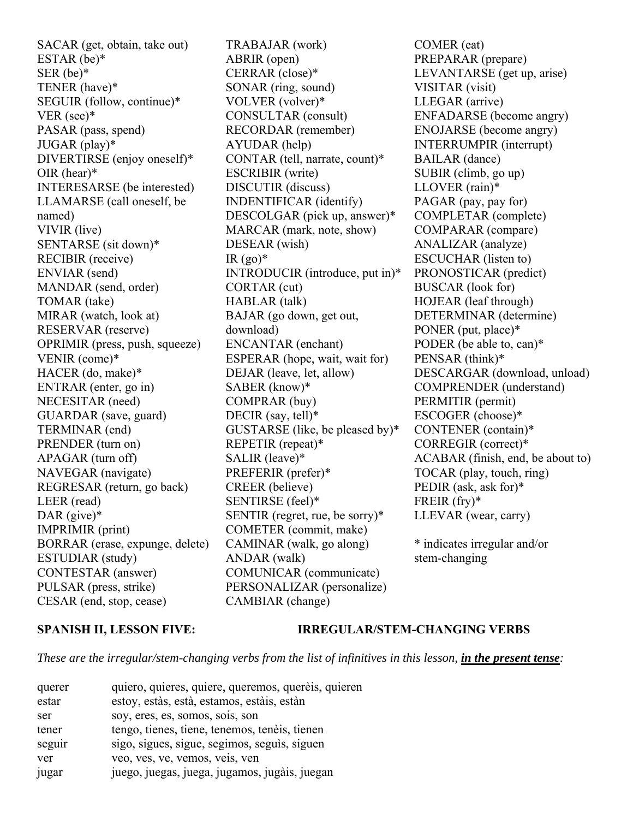SACAR (get, obtain, take out) ESTAR (be)\* SER (be)\* TENER (have)\* SEGUIR (follow, continue)\* VER (see)\* PASAR (pass, spend) JUGAR (play)\* DIVERTIRSE (enjoy oneself)\* OIR (hear)\* INTERESARSE (be interested) LLAMARSE (call oneself, be named) VIVIR (live) SENTARSE (sit down)\* RECIBIR (receive) ENVIAR (send) MANDAR (send, order) TOMAR (take) MIRAR (watch, look at) RESERVAR (reserve) OPRIMIR (press, push, squeeze) VENIR (come)\* HACER (do, make)\* ENTRAR (enter, go in) NECESITAR (need) GUARDAR (save, guard) TERMINAR (end) PRENDER (turn on) APAGAR (turn off) NAVEGAR (navigate) REGRESAR (return, go back) LEER (read) DAR (give)\* IMPRIMIR (print) BORRAR (erase, expunge, delete) ESTUDIAR (study) CONTESTAR (answer) PULSAR (press, strike) CESAR (end, stop, cease)

TRABAJAR (work) ABRIR (open) CERRAR (close)\* SONAR (ring, sound) VOLVER (volver)\* CONSULTAR (consult) RECORDAR (remember) AYUDAR (help) CONTAR (tell, narrate, count)\* ESCRIBIR (write) DISCUTIR (discuss) INDENTIFICAR (identify) DESCOLGAR (pick up, answer)\* MARCAR (mark, note, show) DESEAR (wish)  $IR (qo)*$ INTRODUCIR (introduce, put in)\* CORTAR (cut) HABLAR (talk) BAJAR (go down, get out, download) ENCANTAR (enchant) ESPERAR (hope, wait, wait for) DEJAR (leave, let, allow) SABER (know)\* COMPRAR (buy) DECIR (say, tell)\* GUSTARSE (like, be pleased by)\* REPETIR (repeat)\* SALIR (leave)\* PREFERIR (prefer)\* CREER (believe) SENTIRSE (feel)\* SENTIR (regret, rue, be sorry)\* COMETER (commit, make) CAMINAR (walk, go along) ANDAR (walk) COMUNICAR (communicate) PERSONALIZAR (personalize) CAMBIAR (change)

COMER (eat) PREPARAR (prepare) LEVANTARSE (get up, arise) VISITAR (visit) LLEGAR (arrive) ENFADARSE (become angry) ENOJARSE (become angry) INTERRUMPIR (interrupt) BAILAR (dance) SUBIR (climb, go up) LLOVER (rain)\* PAGAR (pay, pay for) COMPLETAR (complete) COMPARAR (compare) ANALIZAR (analyze) ESCUCHAR (listen to) PRONOSTICAR (predict) BUSCAR (look for) HOJEAR (leaf through) DETERMINAR (determine) PONER (put, place)\* PODER (be able to, can)\* PENSAR (think)\* DESCARGAR (download, unload) COMPRENDER (understand) PERMITIR (permit) ESCOGER (choose)\* CONTENER (contain)\* CORREGIR (correct)\* ACABAR (finish, end, be about to) TOCAR (play, touch, ring) PEDIR (ask, ask for)\* FREIR (fry)\* LLEVAR (wear, carry)

\* indicates irregular and/or stem-changing

### **SPANISH II, LESSON FIVE: IRREGULAR/STEM-CHANGING VERBS**

*These are the irregular/stem-changing verbs from the list of infinitives in this lesson, in the present tense:*

| querer | quiero, quieres, quiere, queremos, querèis, quieren |
|--------|-----------------------------------------------------|
| estar  | estoy, estàs, està, estamos, estàis, estàn          |
| ser    | soy, eres, es, somos, sois, son                     |
| tener  | tengo, tienes, tiene, tenemos, tenèis, tienen       |
| seguir | sigo, sigues, sigue, segimos, seguis, siguen        |
| ver    | veo, ves, ve, vemos, veis, ven                      |
| jugar  | juego, juegas, juega, jugamos, jugàis, juegan       |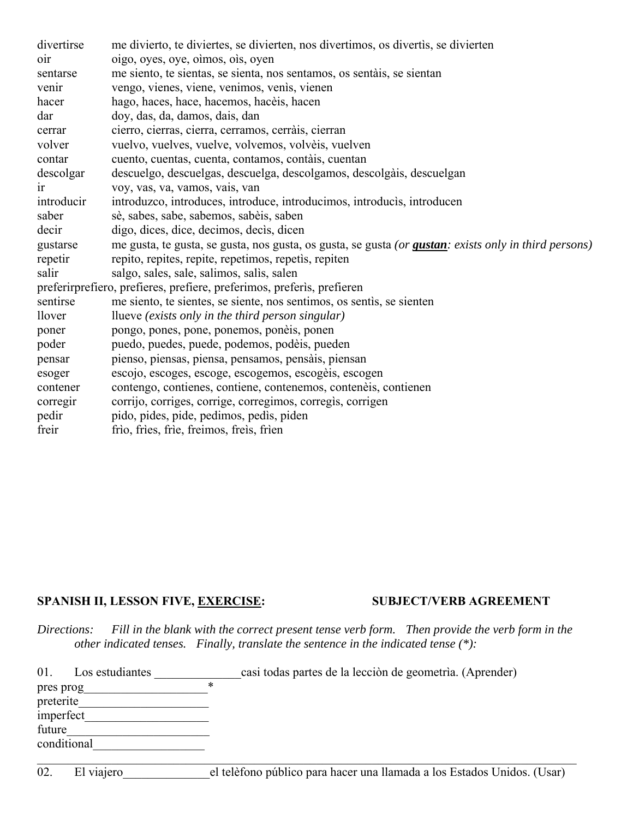| divertirse     | me divierto, te diviertes, se divierten, nos divertimos, os divertis, se divierten                            |
|----------------|---------------------------------------------------------------------------------------------------------------|
| $_{\rm oir}$   | oigo, oyes, oye, oimos, ois, oyen                                                                             |
| sentarse       | me siento, te sientas, se sienta, nos sentamos, os sentáis, se sientan                                        |
| venir          | vengo, vienes, viene, venimos, venis, vienen                                                                  |
| hacer          | hago, haces, hace, hacemos, hacèis, hacen                                                                     |
| dar            | doy, das, da, damos, dais, dan                                                                                |
| cerrar         | cierro, cierras, cierra, cerramos, cerràis, cierran                                                           |
| volver         | vuelvo, vuelves, vuelve, volvemos, volvèis, vuelven                                                           |
| contar         | cuento, cuentas, cuenta, contamos, contáis, cuentan                                                           |
| descolgar      | descuelgo, descuelgas, descuelga, descolgamos, descolgàis, descuelgan                                         |
| <sub>1</sub> r | voy, vas, va, vamos, vais, van                                                                                |
| introducir     | introduzco, introduces, introduce, introducimos, introducis, introducen                                       |
| saber          | sè, sabes, sabe, sabemos, sabèis, saben                                                                       |
| decir          | digo, dices, dice, decimos, decis, dicen                                                                      |
| gustarse       | me gusta, te gusta, se gusta, nos gusta, os gusta, se gusta (or <b>gustan</b> : exists only in third persons) |
| repetir        | repito, repites, repite, repetimos, repetis, repiten                                                          |
| salir          | salgo, sales, sale, salimos, salis, salen                                                                     |
|                | preferirprefiero, prefieres, prefiere, preferimos, preferìs, prefieren                                        |
| sentirse       | me siento, te sientes, se siente, nos sentimos, os sentis, se sienten                                         |
| <i>llover</i>  | llueve (exists only in the third person singular)                                                             |
| poner          | pongo, pones, pone, ponemos, ponèis, ponen                                                                    |
| poder          | puedo, puedes, puede, podemos, podèis, pueden                                                                 |
| pensar         | pienso, piensas, piensa, pensamos, pensàis, piensan                                                           |
| esoger         | escojo, escoges, escoge, escogemos, escogèis, escogen                                                         |
| contener       | contengo, contienes, contiene, contenemos, contenèis, contienen                                               |
| corregir       | corrijo, corriges, corrige, corregimos, corregis, corrigen                                                    |
| pedir          | pido, pides, pide, pedimos, pedis, piden                                                                      |
| freir          | frio, fries, frie, freimos, freis, frien                                                                      |

## SPANISH II, LESSON FIVE, EXERCISE: SUBJECT/VERB AGREEMENT

*Directions: Fill in the blank with the correct present tense verb form. Then provide the verb form in the other indicated tenses. Finally, translate the sentence in the indicated tense (\*):*

| 01.<br>Los estudiantes |   | casi todas partes de la lección de geometría. (Aprender) |
|------------------------|---|----------------------------------------------------------|
| pres prog              | * |                                                          |
| preterite              |   |                                                          |
| imperfect              |   |                                                          |
| future                 |   |                                                          |
| conditional            |   |                                                          |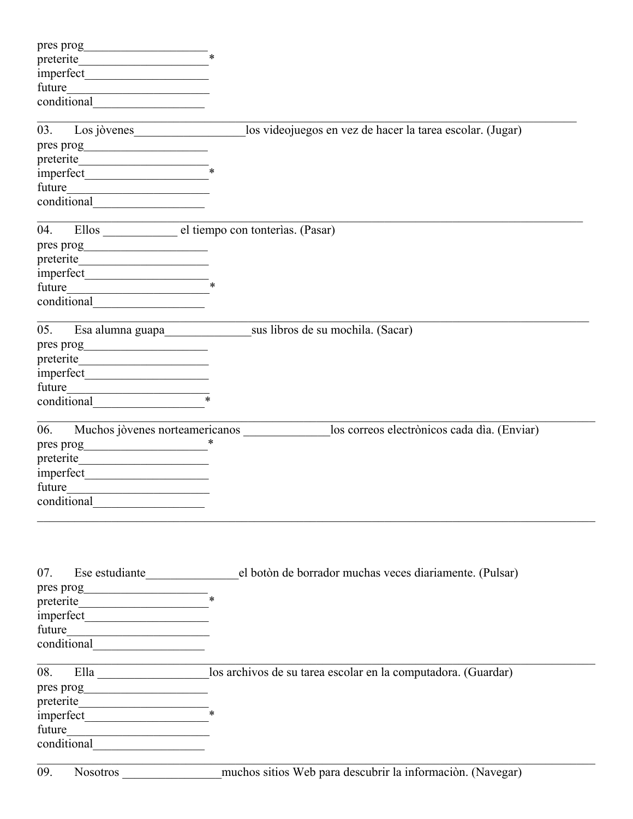|        | preterite                                                                                                             |                                                                                       |
|--------|-----------------------------------------------------------------------------------------------------------------------|---------------------------------------------------------------------------------------|
|        |                                                                                                                       |                                                                                       |
|        |                                                                                                                       |                                                                                       |
|        | conditional                                                                                                           |                                                                                       |
|        |                                                                                                                       |                                                                                       |
| 03.    | Los jòvenes                                                                                                           | los videojuegos en vez de hacer la tarea escolar. (Jugar)                             |
|        |                                                                                                                       |                                                                                       |
|        |                                                                                                                       |                                                                                       |
|        |                                                                                                                       |                                                                                       |
|        |                                                                                                                       |                                                                                       |
|        | $\overline{\text{conditional}}$                                                                                       |                                                                                       |
| 04.    |                                                                                                                       | Ellos el tiempo con tonterías. (Pasar)                                                |
|        |                                                                                                                       |                                                                                       |
|        |                                                                                                                       |                                                                                       |
|        | $imperfect$ ***                                                                                                       |                                                                                       |
|        |                                                                                                                       |                                                                                       |
|        |                                                                                                                       |                                                                                       |
|        |                                                                                                                       |                                                                                       |
| 05.    |                                                                                                                       |                                                                                       |
|        |                                                                                                                       |                                                                                       |
|        |                                                                                                                       |                                                                                       |
|        |                                                                                                                       |                                                                                       |
|        |                                                                                                                       |                                                                                       |
|        | conditional                                                                                                           |                                                                                       |
|        |                                                                                                                       |                                                                                       |
| 06.    |                                                                                                                       | los correos electrònicos cada dìa. (Enviar)<br>Muchos jòvenes norteamericanos         |
|        |                                                                                                                       |                                                                                       |
|        |                                                                                                                       |                                                                                       |
|        |                                                                                                                       |                                                                                       |
| future | <u> 1989 - Andrea Maria Alemania, prima prima prima prima prima prima prima prima prima prima prima prima prima p</u> |                                                                                       |
|        |                                                                                                                       |                                                                                       |
|        |                                                                                                                       |                                                                                       |
|        |                                                                                                                       |                                                                                       |
| 07.    |                                                                                                                       | Ese estudiante el botòn de borrador muchas veces diariamente. (Pulsar)                |
|        | $\frac{1}{2}$ pres prog                                                                                               |                                                                                       |
|        |                                                                                                                       |                                                                                       |
|        |                                                                                                                       |                                                                                       |
|        |                                                                                                                       |                                                                                       |
|        |                                                                                                                       |                                                                                       |
|        |                                                                                                                       |                                                                                       |
| 08.    | <u> 1989 - Johann John Stone, mars eta bainar eta bainar eta baina eta baina eta baina eta baina eta baina eta b</u>  | Ella ___________________los archivos de su tarea escolar en la computadora. (Guardar) |
|        |                                                                                                                       |                                                                                       |
|        |                                                                                                                       |                                                                                       |
|        |                                                                                                                       |                                                                                       |
|        |                                                                                                                       |                                                                                       |
|        | conditional                                                                                                           |                                                                                       |
|        |                                                                                                                       |                                                                                       |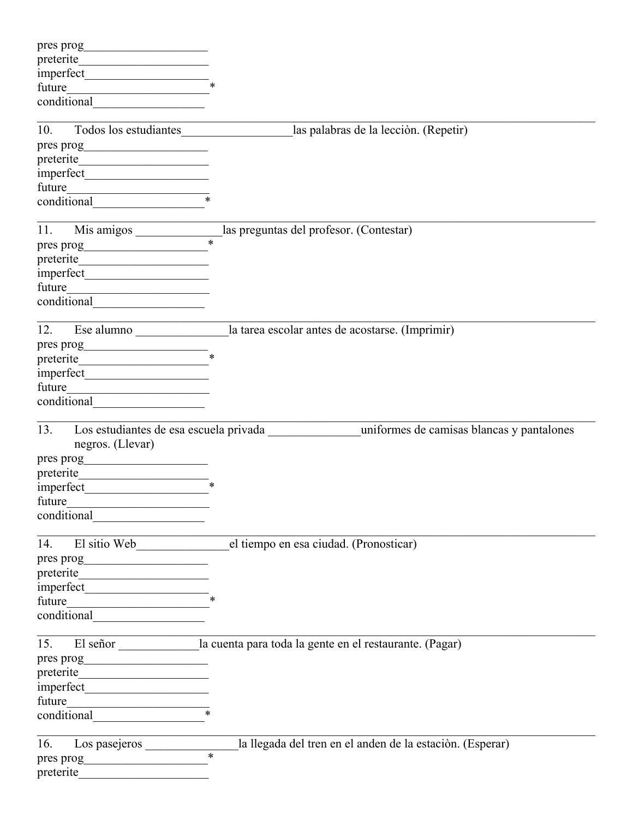| conditional                  |                                                                                          |
|------------------------------|------------------------------------------------------------------------------------------|
|                              |                                                                                          |
| Todos los estudiantes<br>10. | las palabras de la lección. (Repetir)                                                    |
|                              |                                                                                          |
|                              |                                                                                          |
|                              |                                                                                          |
|                              |                                                                                          |
| conditional                  |                                                                                          |
|                              |                                                                                          |
|                              | 11. Mis amigos $\frac{\phantom{+}}{\phantom{+}}$ las preguntas del profesor. (Contestar) |
| pres prog                    |                                                                                          |
|                              |                                                                                          |
|                              |                                                                                          |
|                              |                                                                                          |
|                              |                                                                                          |
|                              |                                                                                          |
| 12.                          | Ese alumno ___________________la tarea escolar antes de acostarse. (Imprimir)            |
|                              |                                                                                          |
|                              |                                                                                          |
|                              |                                                                                          |
|                              |                                                                                          |
| conditional conditional      |                                                                                          |
|                              |                                                                                          |
| 13.                          |                                                                                          |
|                              |                                                                                          |
| negros. (Llevar)             |                                                                                          |
|                              |                                                                                          |
| preterite                    |                                                                                          |
|                              |                                                                                          |
| future                       |                                                                                          |
|                              |                                                                                          |
| 14.                          | el tiempo en esa ciudad. (Pronosticar)                                                   |
| El sitio Web                 |                                                                                          |
|                              |                                                                                          |
|                              |                                                                                          |
|                              |                                                                                          |
|                              |                                                                                          |
|                              |                                                                                          |
|                              |                                                                                          |
| 15.                          | El señor _______________ la cuenta para toda la gente en el restaurante. (Pagar)         |
|                              |                                                                                          |
|                              |                                                                                          |
|                              |                                                                                          |
| future                       |                                                                                          |
|                              |                                                                                          |
|                              |                                                                                          |
|                              |                                                                                          |
|                              | la llegada del tren en el anden de la estación. (Esperar)<br>$\overline{\ast}$           |
|                              |                                                                                          |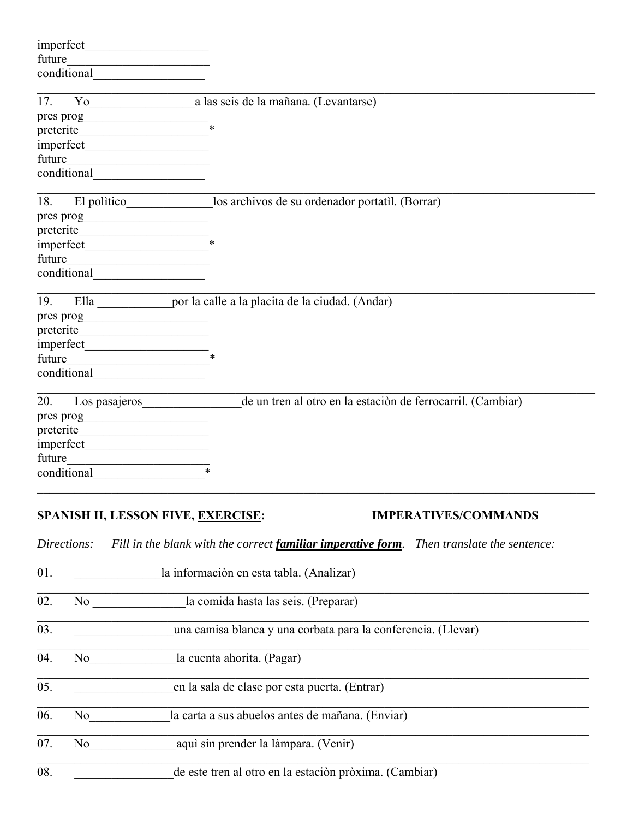| imperfect         |             | <u> 1989 - Johann Barbara, martxa al</u>                                                                                                                                                                                                                               |
|-------------------|-------------|------------------------------------------------------------------------------------------------------------------------------------------------------------------------------------------------------------------------------------------------------------------------|
| future            |             |                                                                                                                                                                                                                                                                        |
|                   | conditional |                                                                                                                                                                                                                                                                        |
| 17.               |             | a las seis de la mañana. (Levantarse)<br>$\gamma$ o                                                                                                                                                                                                                    |
| pres prog         |             |                                                                                                                                                                                                                                                                        |
|                   |             | $\ast$<br>preterite                                                                                                                                                                                                                                                    |
|                   |             |                                                                                                                                                                                                                                                                        |
|                   |             | future                                                                                                                                                                                                                                                                 |
|                   |             |                                                                                                                                                                                                                                                                        |
| 18.               |             |                                                                                                                                                                                                                                                                        |
|                   |             |                                                                                                                                                                                                                                                                        |
|                   |             |                                                                                                                                                                                                                                                                        |
|                   |             |                                                                                                                                                                                                                                                                        |
| future            |             |                                                                                                                                                                                                                                                                        |
|                   | conditional |                                                                                                                                                                                                                                                                        |
| 19.               |             | Ella <i>por la calle a la placita de la ciudad.</i> (Andar)                                                                                                                                                                                                            |
|                   |             |                                                                                                                                                                                                                                                                        |
|                   |             | preterite                                                                                                                                                                                                                                                              |
|                   |             |                                                                                                                                                                                                                                                                        |
| future            |             |                                                                                                                                                                                                                                                                        |
|                   |             |                                                                                                                                                                                                                                                                        |
| 20.               |             | de un tren al otro en la estación de ferrocarril. (Cambiar)<br>Los pasajeros                                                                                                                                                                                           |
|                   |             |                                                                                                                                                                                                                                                                        |
|                   |             |                                                                                                                                                                                                                                                                        |
|                   |             |                                                                                                                                                                                                                                                                        |
| future            |             | <u> 1989 - Andrea Station Barbara, amerikan per</u>                                                                                                                                                                                                                    |
|                   |             | conditional                                                                                                                                                                                                                                                            |
|                   |             | SPANISH II, LESSON FIVE, EXERCISE:<br><b>IMPERATIVES/COMMANDS</b>                                                                                                                                                                                                      |
|                   | Directions: | Fill in the blank with the correct familiar imperative form.<br>Then translate the sentence:                                                                                                                                                                           |
| 01.               |             | la información en esta tabla. (Analizar)                                                                                                                                                                                                                               |
| 02.               |             | la comida hasta las seis. (Preparar)<br>No service that the same state of the state of the state of the state of the state of the state of the state of the state of the state of the state of the state of the state of the state of the state of the state of the st |
| $\overline{03}$ . |             | una camisa blanca y una corbata para la conferencia. (Llevar)                                                                                                                                                                                                          |
| 04.               |             | la cuenta ahorita. (Pagar)<br>No new years of the New York of the New York of the New York of the New York of the New York of the New York o<br>New York of the New York of the New York of the New York of the New York of the New York of the New York of the        |
| 05.               |             | en la sala de clase por esta puerta. (Entrar)                                                                                                                                                                                                                          |
| 06.               | No          | la carta a sus abuelos antes de mañana. (Enviar)                                                                                                                                                                                                                       |
| 07.               | No          | aquì sin prender la làmpara. (Venir)                                                                                                                                                                                                                                   |

08.  $\qquad \qquad$  de este tren al otro en la estación pròxima. (Cambiar)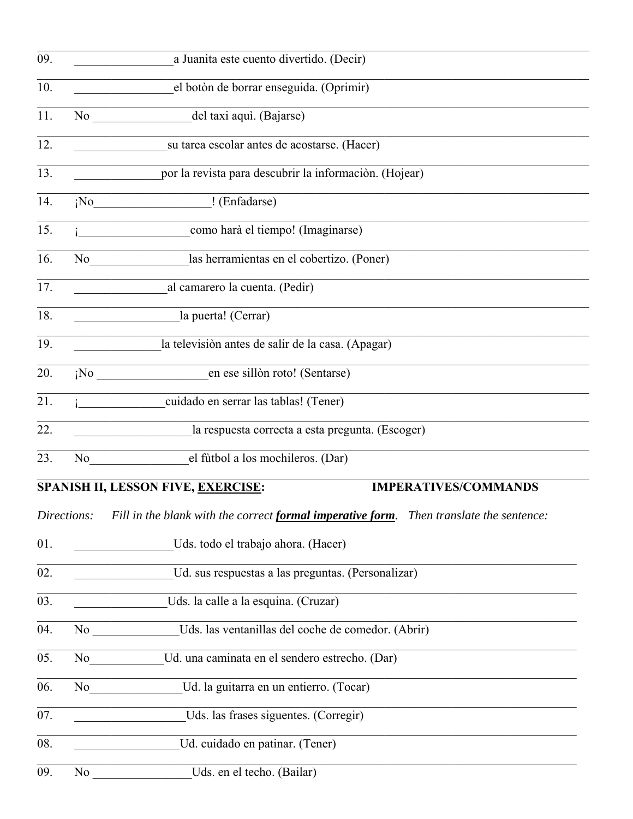| 09. |             | a Juanita este cuento divertido. (Decir)                                                                                                                                                                                                                                            |
|-----|-------------|-------------------------------------------------------------------------------------------------------------------------------------------------------------------------------------------------------------------------------------------------------------------------------------|
| 10. |             | el botòn de borrar enseguida. (Oprimir)                                                                                                                                                                                                                                             |
| 11. |             | del taxi aquì. (Bajarse)<br>No new contract the set of the set of the set of the set of the set of the set of the set of the set of the set of the set of the set of the set of the set of the set of the set of the set of the set of the set of the set                           |
| 12. |             | su tarea escolar antes de acostarse. (Hacer)                                                                                                                                                                                                                                        |
| 13. |             | por la revista para descubrir la información. (Hojear)                                                                                                                                                                                                                              |
| 14. |             | ¡No ! (Enfadarse)                                                                                                                                                                                                                                                                   |
| 15. |             | i como harà el tiempo! (Imaginarse)                                                                                                                                                                                                                                                 |
| 16. |             | No las herramientas en el cobertizo. (Poner)                                                                                                                                                                                                                                        |
| 17. |             | al camarero la cuenta. (Pedir)                                                                                                                                                                                                                                                      |
| 18. |             | la puerta! (Cerrar)                                                                                                                                                                                                                                                                 |
| 19. |             | la televisión antes de salir de la casa. (Apagar)                                                                                                                                                                                                                                   |
| 20. |             | en ese sillòn roto! (Sentarse)<br>i <sup>NO</sup>                                                                                                                                                                                                                                   |
| 21. |             | cuidado en serrar las tablas! (Tener)                                                                                                                                                                                                                                               |
| 22. |             | la respuesta correcta a esta pregunta. (Escoger)                                                                                                                                                                                                                                    |
| 23. |             | No el futbol a los mochileros. (Dar)                                                                                                                                                                                                                                                |
|     |             | <b>IMPERATIVES/COMMANDS</b><br><b>SPANISH II, LESSON FIVE, EXERCISE:</b>                                                                                                                                                                                                            |
|     | Directions: | Fill in the blank with the correct formal imperative form. Then translate the sentence:                                                                                                                                                                                             |
| 01. |             | Uds. todo el trabajo ahora. (Hacer)                                                                                                                                                                                                                                                 |
| 02. |             | Ud. sus respuestas a las preguntas. (Personalizar)                                                                                                                                                                                                                                  |
| 03. |             | Uds. la calle a la esquina. (Cruzar)                                                                                                                                                                                                                                                |
| 04. |             | Uds. las ventanillas del coche de comedor. (Abrir)<br>No                                                                                                                                                                                                                            |
| 05. |             | Ud. una caminata en el sendero estrecho. (Dar)<br>No new years of the New York of the New York of the New York of the New York of the New York of the New York o<br>New York of the New York of the New York of the New York of the New York of the New York of the New York of the |
| 06. | No 1        | Ud. la guitarra en un entierro. (Tocar)                                                                                                                                                                                                                                             |
| 07. |             | Uds. las frases siguentes. (Corregir)                                                                                                                                                                                                                                               |
| 08. |             | Ud. cuidado en patinar. (Tener)                                                                                                                                                                                                                                                     |
| 09. | No          | Uds. en el techo. (Bailar)                                                                                                                                                                                                                                                          |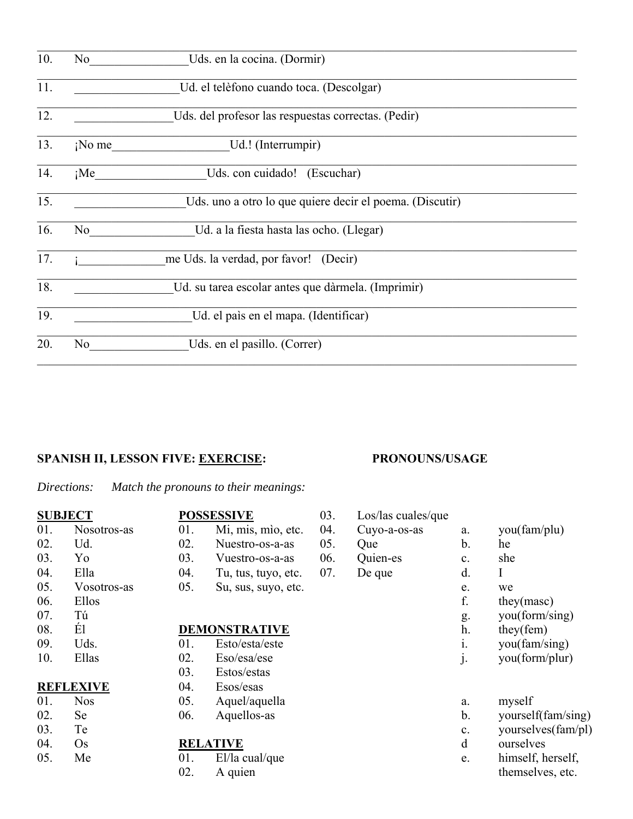| 10. | No             | Uds. en la cocina. (Dormir)                              |
|-----|----------------|----------------------------------------------------------|
| 11. |                | Ud. el telèfono cuando toca. (Descolgar)                 |
| 12. |                | Uds. del profesor las respuestas correctas. (Pedir)      |
| 13. | $i$ No me      | Ud.! (Interrumpir)                                       |
| 14. | $i$ Me         | Uds. con cuidado! (Escuchar)                             |
| 15. |                | Uds. uno a otro lo que quiere decir el poema. (Discutir) |
| 16. | No             | Ud. a la fiesta hasta las ocho. (Llegar)                 |
| 17. |                | me Uds. la verdad, por favor! (Decir)                    |
| 18. |                | Ud. su tarea escolar antes que dàrmela. (Imprimir)       |
| 19. |                | Ud. el país en el mapa. (Identificar)                    |
| 20. | N <sub>o</sub> | Uds. en el pasillo. (Correr)                             |

## **SPANISH II, LESSON FIVE: EXERCISE: PRONOUNS/USAGE**

*Directions: Match the pronouns to their meanings:*

|        | <b>SUBJECT</b>   | <b>POSSES</b> |                |
|--------|------------------|---------------|----------------|
| 01.    | Nosotros-as      | 01.           | $\mathbf{I}$   |
| 02.    | Ud.              | 02.           | $\mathbf{I}$   |
| 03.    | $Y_0$            | 03.           | I              |
|        | 04. Ella         | 04.           | $\mathbf{I}$   |
|        | 05. Vosotros-as  | 05.           | S              |
|        | 06. Ellos        |               |                |
| 07.    | Tú               |               |                |
| 08.    | Él               | <b>DEMO!</b>  |                |
| 09.    | Uds.             | 01.           | $\mathbf{F}$   |
| 10.    | Ellas            | 02.           | $\mathbf{I}$   |
|        |                  | 03.           | $\mathbf{F}$   |
|        | <b>REFLEXIVE</b> | 04.           | $\mathbf{F}$   |
| 01.    | <b>Nos</b>       | 05.           | $\overline{A}$ |
| 02.    | Se               | 06.           | F              |
| 03. Te |                  |               |                |
| 04. Os |                  | <b>RELAT</b>  |                |
| 05.    | Me               | 01.           | I              |
|        |                  |               |                |

|     |     | <b>POSSESSIVE</b>    |  |
|-----|-----|----------------------|--|
| -as | 01. | Mi, mis, mio, etc.   |  |
|     | 02. | Nuestro-os-a-as      |  |
|     | 03. | Vuestro-os-a-as      |  |
|     | 04. | Tu, tus, tuyo, etc.  |  |
| -as | 05. | Su, sus, suyo, etc.  |  |
|     |     |                      |  |
|     |     |                      |  |
|     |     | <b>DEMONSTRATIVE</b> |  |
|     | 01. | Esto/esta/este       |  |
|     |     | 02. Eso/esa/ese      |  |
|     |     | 03. Estos/estas      |  |
|     |     | 04. Esos/esas        |  |
|     | 05. | Aquel/aquella        |  |
|     | 06. | Aquellos-as          |  |
|     |     |                      |  |
|     |     | <b>RELATIVE</b>      |  |
|     | 01. | $E1/1a$ cual/que     |  |
|     | 02. | A quien              |  |

| 03. | Los/las cuales/que |    |
|-----|--------------------|----|
| 04. | Cuyo-a-os-as       | a. |
| 05. | Que                | b. |
| 06. | Quien-es           | c. |
| 07. | De que             | d. |
|     |                    | e. |
|     |                    | f. |
|     |                    | g. |
|     |                    | h. |
|     |                    |    |

i. you(fam/sing) j. you(form/plur)

you(fam/plu)

they(masc) you(form/sing)  $they$ (fem)

he she  $\mathbf I$ we

- a. myself
- b. yourself(fam/sing)
- c. yourselves(fam/pl)
- d ourselves
- e. himself, herself, themselves, etc.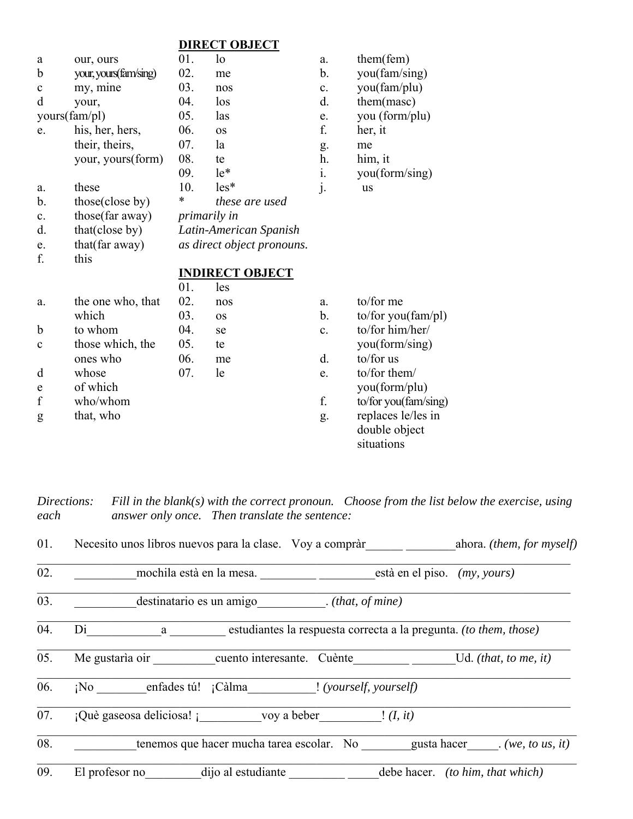## **DIRECT OBJECT**

| a             | our, ours              | 01.                        | lo                     | a. | them(fem)                           |  |
|---------------|------------------------|----------------------------|------------------------|----|-------------------------------------|--|
| $\mathbf b$   | your, yours (fam/sing) | 02.                        | me                     | b. | you(fam/sing)                       |  |
| $\mathbf c$   | my, mine               | 03.                        | nos                    | c. | you(fam/plu)                        |  |
| d             | your,                  | 04.                        | $\log$                 | d. | them(masc)                          |  |
| yours(fam/pl) |                        | 05.                        | las                    | e. | you (form/plu)                      |  |
| e.            | his, her, hers,        | 06.                        | <b>OS</b>              | f. | her, it                             |  |
|               | their, theirs,         | 07.                        | la                     | g. | me                                  |  |
|               | your, yours(form)      | 08.                        | te                     | h. | him, it                             |  |
|               |                        | 09.                        | $le^*$                 | i. | you(form/sing)                      |  |
| a.            | these                  | 10.                        | $les*$                 | j. | <b>us</b>                           |  |
| $b$ .         | those(close by)        | $\ast$                     | these are used         |    |                                     |  |
| c.            | those(far away)        | <i>primarily in</i>        |                        |    |                                     |  |
| d.            | that(close by)         | Latin-American Spanish     |                        |    |                                     |  |
| e.            | that (far away)        | as direct object pronouns. |                        |    |                                     |  |
| f.            | this                   |                            |                        |    |                                     |  |
|               |                        |                            | <b>INDIRECT OBJECT</b> |    |                                     |  |
|               |                        | 01.                        | les                    |    |                                     |  |
| a.            | the one who, that      | 02.                        | nos                    | a. | to/for me                           |  |
|               | which                  | 03.                        | <b>OS</b>              | b. | to/for you(fam/pl)                  |  |
| $\mathbf b$   | to whom                | 04.                        | se                     | c. | to/for him/her/                     |  |
| $\mathbf c$   | those which, the       | 05.                        | te                     |    | you(form/sing)                      |  |
|               | ones who               | 06.                        | me                     | d. | to/for us                           |  |
| d             | whose                  | 07.                        | le                     | e. | to/for them/                        |  |
| e             | of which               |                            |                        |    | you(form/plu)                       |  |
| $\mathbf f$   | who/whom               |                            |                        | f. | to/for you(fam/sing)                |  |
| g             | that, who              |                            |                        | g. | replaces le/les in<br>double object |  |
|               |                        |                            |                        |    | situations                          |  |

Fill in the blank(s) with the correct pronoun. Choose from the list below the exercise, using Directions: answer only once. Then translate the sentence: each

| 01. |                                                                        |  |                              | Necesito unos libros nuevos para la clase. Voy a compràr ahora. (them, for myself) |
|-----|------------------------------------------------------------------------|--|------------------------------|------------------------------------------------------------------------------------|
| 02. | mochila està en la mesa.                                               |  | està en el piso. (my, yours) |                                                                                    |
| 03. | destinatario es un amigo ( <i>that, of mine</i> )                      |  |                              |                                                                                    |
| 04. | Di a estudiantes la respuesta correcta a la pregunta. (to them, those) |  |                              |                                                                                    |
| 05. | Me gustaria oir cuento interesante. Cuènte                             |  |                              | Ud. (that, to me, it)                                                              |
| 06. | ¡No enfades tú! ¡Càlma ! (yourself, yourself)                          |  |                              |                                                                                    |
| 07. | $i$ Què gaseosa deliciosa! voy a beber $(1, it)$                       |  |                              |                                                                                    |
| 08. | tenemos que hacer mucha tarea escolar. No gusta hacer (we, to us, it)  |  |                              |                                                                                    |
| 09. | El profesor no dijo al estudiante                                      |  |                              | debe hacer. <i>(to him, that which)</i>                                            |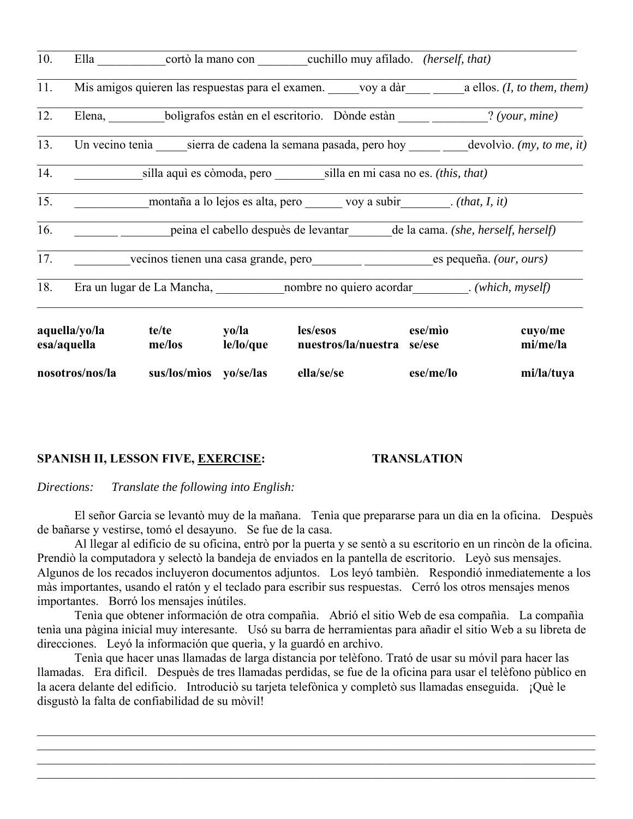| 10.             |                              |                       |                        | Ella cortò la mano con cuchillo muy afilado. (herself, that)                                 |           |                     |
|-----------------|------------------------------|-----------------------|------------------------|----------------------------------------------------------------------------------------------|-----------|---------------------|
| 11.             |                              |                       |                        | Mis amigos quieren las respuestas para el examen. voy a dàr a ellos. (I, to them, them)      |           |                     |
| 12.             |                              |                       |                        | Elena, boligrafos estàn en el escritorio. Dònde estàn (your, mine)                           |           |                     |
| 13.             |                              |                       |                        | Un vecino tenia sierra de cadena la semana pasada, pero hoy ______ devolvio. (my, to me, it) |           |                     |
| 14.             |                              |                       |                        | silla aquì es còmoda, pero silla en mi casa no es. (this, that)                              |           |                     |
| 15.             |                              |                       |                        | montaña a lo lejos es alta, pero voy a subir ( <i>that, I, it</i> )                          |           |                     |
| 16.             |                              |                       |                        | peina el cabello despuès de levantar de la cama. (she, herself, herself)                     |           |                     |
| 17.             |                              |                       |                        | vecinos tienen una casa grande, pero es pequeña. (our, ours)                                 |           |                     |
| 18.             |                              |                       |                        | Era un lugar de La Mancha, nombre no quiero acordar (which, myself)                          |           |                     |
|                 | aquella/yo/la<br>esa/aquella | te/te yo/la<br>me/los | le/lo/que              | les/esos ese/mìo<br>nuestros/la/nuestra se/ese                                               |           | cuyo/me<br>mi/me/la |
| nosotros/nos/la |                              |                       | sus/los/mìos yo/se/las | ella/se/se                                                                                   | ese/me/lo | mi/la/tuya          |

## **SPANISH II, LESSON FIVE, EXERCISE:**

### **TRANSLATION**

Directions: Translate the following into English:

El señor Garcia se levantò muy de la mañana. Tenía que prepararse para un día en la oficina. Despuès de bañarse y vestirse, tomó el desayuno. Se fue de la casa.

Al llegar al edificio de su oficina, entrò por la puerta y se sentò a su escritorio en un rincòn de la oficina. Prendiò la computadora y selectò la bandeja de enviados en la pantella de escritorio. Leyò sus mensajes. Algunos de los recados incluyeron documentos adjuntos. Los leyó también. Respondió inmediatemente a los màs importantes, usando el ratón y el teclado para escribir sus respuestas. Cerró los otros mensajes menos importantes. Borró los mensajes inútiles.

Tenia que obtener información de otra compañía. Abrió el sitio Web de esa compañía. La compañía tenía una pàgina inicial muy interesante. Usó su barra de herramientas para añadir el sitio Web a su libreta de direcciones. Leyó la información que querìa, y la guardó en archivo.

Tenia que hacer unas llamadas de larga distancia por telèfono. Trató de usar su móvil para hacer las llamadas. Era dificil. Despuès de tres llamadas perdidas, se fue de la oficina para usar el telèfono pùblico en la acera delante del edificio. Introduciò su tarjeta telefònica y completò sus llamadas enseguida. ¡Què le disgustò la falta de confiabilidad de su mòvil!